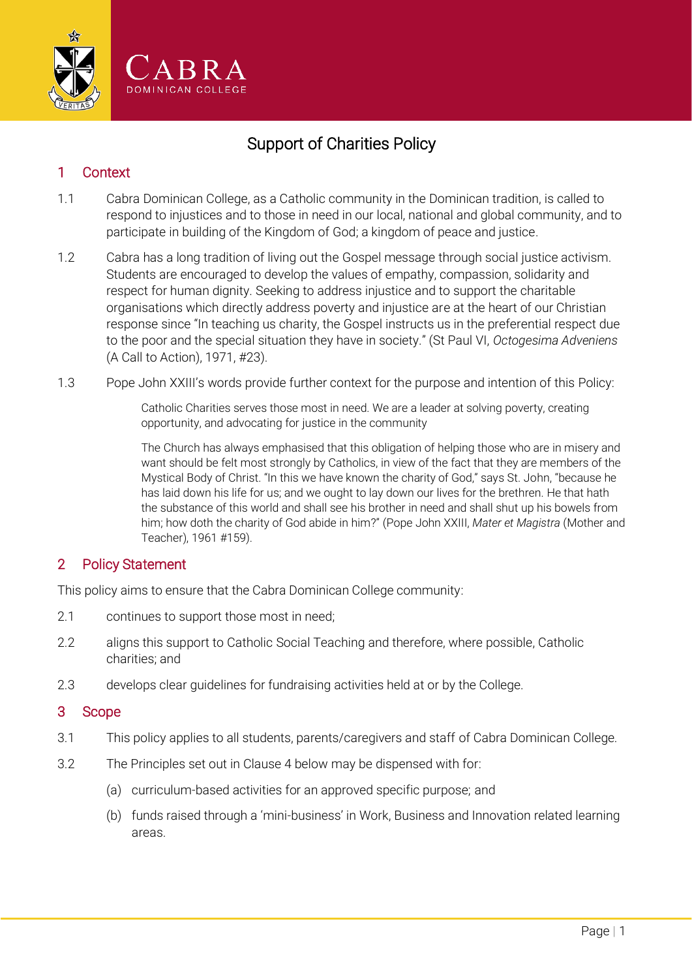

# Support of Charities Policy

### 1 Context

- 1.1 Cabra Dominican College, as a Catholic community in the Dominican tradition, is called to respond to injustices and to those in need in our local, national and global community, and to participate in building of the Kingdom of God; a kingdom of peace and justice.
- 1.2 Cabra has a long tradition of living out the Gospel message through social justice activism. Students are encouraged to develop the values of empathy, compassion, solidarity and respect for human dignity. Seeking to address injustice and to support the charitable organisations which directly address poverty and injustice are at the heart of our Christian response since "In teaching us charity, the Gospel instructs us in the preferential respect due to the poor and the special situation they have in society." (St Paul VI, *Octogesima Adveniens* (A Call to Action), 1971, #23).
- 1.3 Pope John XXIII's words provide further context for the purpose and intention of this Policy:

Catholic Charities serves those most in need. We are a leader at solving poverty, creating opportunity, and advocating for justice in the community

The Church has always emphasised that this obligation of helping those who are in misery and want should be felt most strongly by Catholics, in view of the fact that they are members of the Mystical Body of Christ. "In this we have known the charity of God," says St. John, "because he has laid down his life for us; and we ought to lay down our lives for the brethren. He that hath the substance of this world and shall see his brother in need and shall shut up his bowels from him; how doth the charity of God abide in him?" (Pope John XXIII, *Mater et Magistra* (Mother and Teacher), 1961 #159).

#### 2 Policy Statement

This policy aims to ensure that the Cabra Dominican College community:

- 2.1 continues to support those most in need;
- 2.2 aligns this support to Catholic Social Teaching and therefore, where possible, Catholic charities; and
- 2.3 develops clear guidelines for fundraising activities held at or by the College.

#### 3 Scope

- 3.1 This policy applies to all students, parents/caregivers and staff of Cabra Dominican College.
- 3.2 The Principles set out in Clause [4 below](#page-1-0) may be dispensed with for:
	- (a) curriculum-based activities for an approved specific purpose; and
	- (b) funds raised through a 'mini-business' in Work, Business and Innovation related learning areas.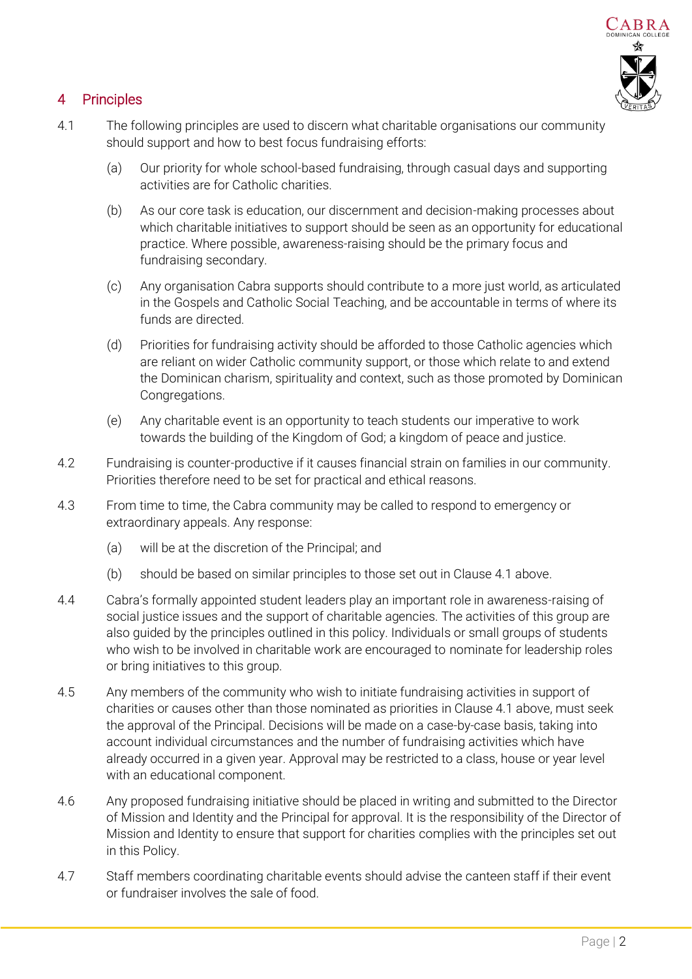

## <span id="page-1-0"></span>4 Principles

- <span id="page-1-1"></span>4.1 The following principles are used to discern what charitable organisations our community should support and how to best focus fundraising efforts:
	- (a) Our priority for whole school-based fundraising, through casual days and supporting activities are for Catholic charities.
	- (b) As our core task is education, our discernment and decision-making processes about which charitable initiatives to support should be seen as an opportunity for educational practice. Where possible, awareness-raising should be the primary focus and fundraising secondary.
	- (c) Any organisation Cabra supports should contribute to a more just world, as articulated in the Gospels and Catholic Social Teaching, and be accountable in terms of where its funds are directed.
	- (d) Priorities for fundraising activity should be afforded to those Catholic agencies which are reliant on wider Catholic community support, or those which relate to and extend the Dominican charism, spirituality and context, such as those promoted by Dominican Congregations.
	- (e) Any charitable event is an opportunity to teach students our imperative to work towards the building of the Kingdom of God; a kingdom of peace and justice.
- 4.2 Fundraising is counter-productive if it causes financial strain on families in our community. Priorities therefore need to be set for practical and ethical reasons.
- 4.3 From time to time, the Cabra community may be called to respond to emergency or extraordinary appeals. Any response:
	- (a) will be at the discretion of the Principal; and
	- (b) should be based on similar principles to those set out in Claus[e 4.1 above.](#page-1-1)
- 4.4 Cabra's formally appointed student leaders play an important role in awareness-raising of social justice issues and the support of charitable agencies. The activities of this group are also guided by the principles outlined in this policy. Individuals or small groups of students who wish to be involved in charitable work are encouraged to nominate for leadership roles or bring initiatives to this group.
- 4.5 Any members of the community who wish to initiate fundraising activities in support of charities or causes other than those nominated as priorities in Claus[e 4.1 above,](#page-1-1) must seek the approval of the Principal. Decisions will be made on a case-by-case basis, taking into account individual circumstances and the number of fundraising activities which have already occurred in a given year. Approval may be restricted to a class, house or year level with an educational component.
- 4.6 Any proposed fundraising initiative should be placed in writing and submitted to the Director of Mission and Identity and the Principal for approval. It is the responsibility of the Director of Mission and Identity to ensure that support for charities complies with the principles set out in this Policy.
- 4.7 Staff members coordinating charitable events should advise the canteen staff if their event or fundraiser involves the sale of food.